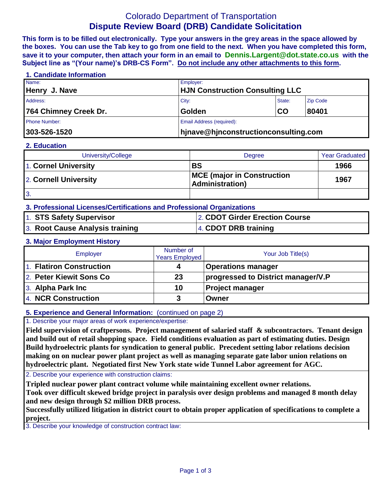# Colorado Department of Transportation **Dispute Review Board (DRB) Candidate Solicitation**

**This form is to be filled out electronically. Type your answers in the grey areas in the space allowed by the boxes. You can use the Tab key to go from one field to the next. When you have completed this form, save it to your computer, then attach your form in an email to Dennis.Largent@dot.state.co.us with the Subject line as "(Your name)'s DRB-CS Form". Do not include any other attachments to this form.**

## **1. Candidate Information** Name: Employer: **Henry J. Nave HJN Construction Consulting LLC** Address: City: State: Zip Code **764 Chimney Creek Dr. Golden CO 80401** Phone Number: **Email Address (required): Email Address (required): 303-526-1520 hjnave@hjnconstructionconsulting.com**

#### **2. Education**

| University/College    | Degree                                                       | <b>Year Graduated</b> |  |
|-----------------------|--------------------------------------------------------------|-----------------------|--|
| 1. Cornel University  | <b>BS</b>                                                    | 1966                  |  |
| 2. Cornell University | <b>MCE</b> (major in Construction<br><b>Administration</b> ) | 1967                  |  |
| 3.                    |                                                              |                       |  |

## **3. Professional Licenses/Certifications and Professional Organizations**

| 1. STS Safety Supervisor        | 2. CDOT Girder Erection Course |
|---------------------------------|--------------------------------|
| 3. Root Cause Analysis training | 4. CDOT DRB training           |

#### **3. Major Employment History**

| Employer                 | Number of<br><b>Years Employed</b> | Your Job Title(s)                  |
|--------------------------|------------------------------------|------------------------------------|
| 1. Flatiron Construction |                                    | <b>Operations manager</b>          |
| 2. Peter Kiewit Sons Co  | 23                                 | progressed to District manager/V.P |
| 3. Alpha Park Inc        | 10                                 | <b>Project manager</b>             |
| 4. NCR Construction      | 3                                  | Owner                              |

### **5. Experience and General Information:** (continued on page 2)

1. Describe your major areas of work experience/expertise:

**Field supervision of craftpersons. Project management of salaried staff & subcontractors. Tenant design and build out of retail shopping space. Field conditions evaluation as part of estimating duties. Design Build hydroelectric plants for syndication to general public. Precedent setting labor relations decision making on on nuclear power plant project as well as managing separate gate labor union relations on hydroelectric plant. Negotiated first New York state wide Tunnel Labor agreement for AGC.** 

2. Describe your experience with construction claims:

**Tripled nuclear power plant contract volume while maintaining excellent owner relations.** 

**Took over difficult skewed bridge project in paralysis over design problems and managed 8 month delay and new design through \$2 million DRB process.**

**Successfully utilized litigation in district court to obtain proper application of specifications to complete a project.**

**Litigated sewer contractor claim against developer.** 3. Describe your knowledge of construction contract law: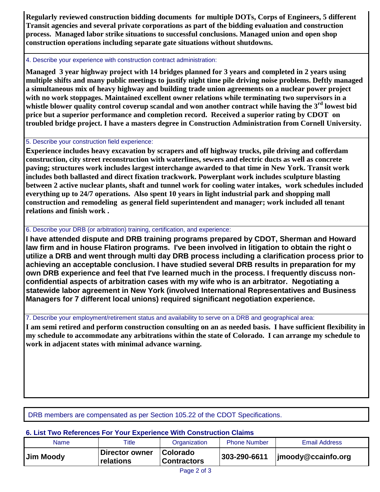**Regularly reviewed construction bidding documents for multiple DOTs, Corps of Engineers, 5 different Transit agencies and several private corporations as part of the bidding evaluation and construction process. Managed labor strike situations to successful conclusions. Managed union and open shop construction operations including separate gate situations without shutdowns.** 

#### 4. Describe your experience with construction contract administration:

**Managed 3 year highway project with 14 bridges planned for 3 years and completed in 2 years using multiple shifts and many public meetings to justify night time pile driving noise problems. Deftly managed a simultaneous mix of heavy highway and building trade union agreements on a nuclear power project with no work stoppages. Maintained excellent owner relations while terminating two supervisors in a whistle blower quality control coverup scandal and won another contract while having the 3rd lowest bid price but a superior performance and completion record. Received a superior rating by CDOT on troubled bridge project. I have a masters degree in Construction Administration from Cornell University.**

### 5. Describe your construction field experience:

**Experience includes heavy excavation by scrapers and off highway trucks, pile driving and cofferdam construction, city street reconstruction with waterlines, sewers and electric ducts as well as concrete paving; structures work includes largest interchange awarded to that time in New York. Transit work includes both ballasted and direct fixation trackwork. Powerplant work includes sculpture blasting between 2 active nuclear plants, shaft and tunnel work for cooling water intakes, work schedules included everything up to 24/7 operations. Also spent 10 years in light industrial park and shopping mall construction and remodeling as general field superintendent and manager; work included all tenant relations and finish work .** 

## 6. Describe your DRB (or arbitration) training, certification, and experience:

**I have attended dispute and DRB training programs prepared by CDOT, Sherman and Howard law firm and in house Flatiron programs. I've been involved in litigation to obtain the right o utilize a DRB and went through multi day DRB process including a clarification process prior to achieving an acceptable conclusion. I have studied several DRB results in preparation for my own DRB experience and feel that I've learned much in the process. I frequently discuss nonconfidential aspects of arbitration cases with my wife who is an arbitrator. Negotiating a statewide labor agreement in New York (involved International Representatives and Business Managers for 7 different local unions) required significant negotiation experience.**

7. Describe your employment/retirement status and availability to serve on a DRB and geographical area:

**I am semi retired and perform construction consulting on an as needed basis. I have sufficient flexibility in my schedule to accommodate any arbitrations within the state of Colorado. I can arrange my schedule to work in adjacent states with minimal advance warning.** 

## DRB members are compensated as per Section 105.22 of the CDOT Specifications.

## **6. List Two References For Your Experience With Construction Claims**

| Name      | Title                       | Organization                          | <b>Phone Number</b> | <b>Email Address</b>   |
|-----------|-----------------------------|---------------------------------------|---------------------|------------------------|
| Jim Moody | Director owner<br>relations | <b>Colorado</b><br><b>Contractors</b> | 303-290-6611        | $ $ jmoody@ccainfo.org |